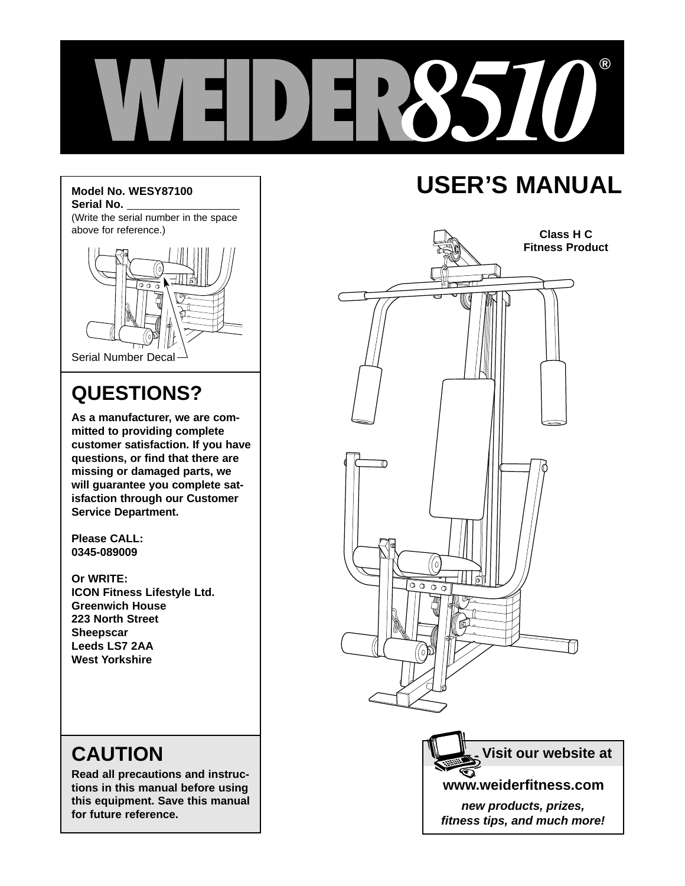

#### **Model No. WESY87100 Serial No.**

(Write the serial number in the space above for reference.)



## **QUESTIONS?**

**As a manufacturer, we are committed to providing complete customer satisfaction. If you have questions, or find that there are missing or damaged parts, we will guarantee you complete satisfaction through our Customer Service Department.**

**Please CALL: 0345-089009**

**Or WRITE: ICON Fitness Lifestyle Ltd. Greenwich House 223 North Street Sheepscar Leeds LS7 2AA West Yorkshire**

## **CAUTION**

**Read all precautions and instructions in this manual before using this equipment. Save this manual for future reference.**

## **USER'S MANUAL**



**Visit our website at**

**www.weiderfitness.com**

**new products, prizes, fitness tips, and much more!**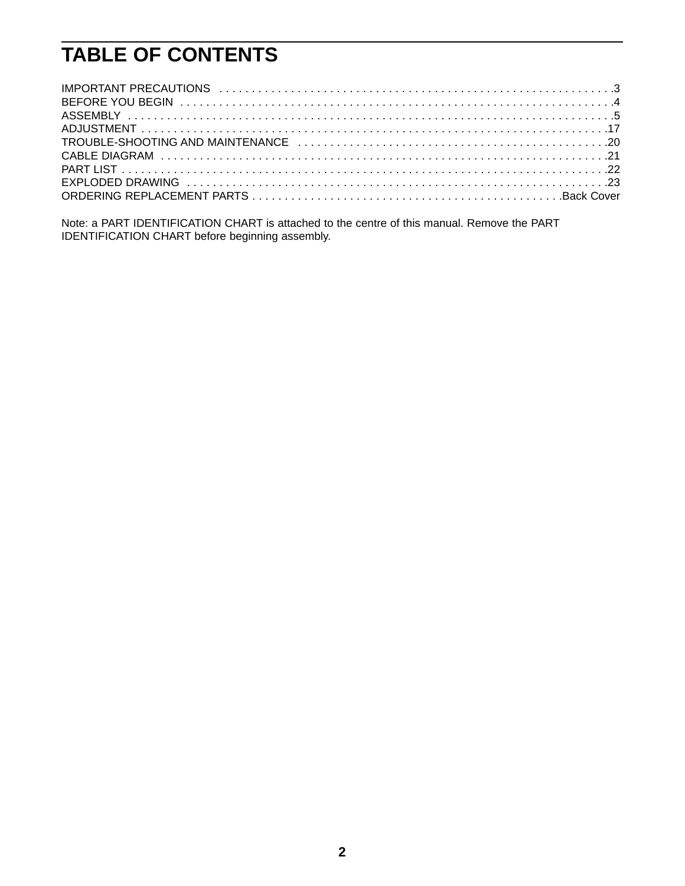## **TABLE OF CONTENTS**

Note: a PART IDENTIFICATION CHART is attached to the centre of this manual. Remove the PART IDENTIFICATION CHART before beginning assembly.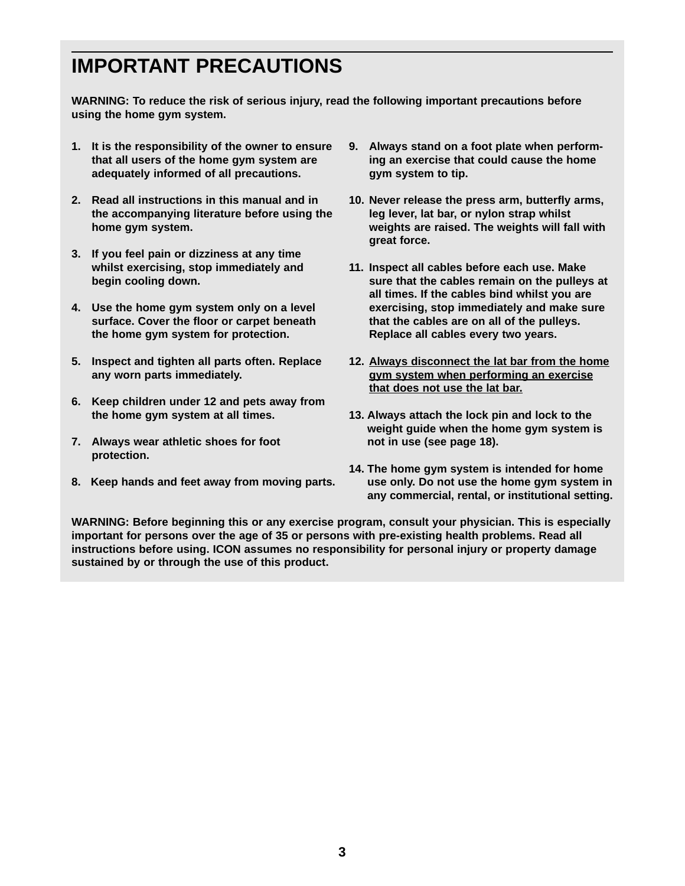### **IMPORTANT PRECAUTIONS**

**WARNING: To reduce the risk of serious injury, read the following important precautions before using the home gym system.**

- **1. It is the responsibility of the owner to ensure that all users of the home gym system are adequately informed of all precautions.**
- **2. Read all instructions in this manual and in the accompanying literature before using the home gym system.**
- **3. If you feel pain or dizziness at any time whilst exercising, stop immediately and begin cooling down.**
- **4. Use the home gym system only on a level surface. Cover the floor or carpet beneath the home gym system for protection.**
- **5. Inspect and tighten all parts often. Replace any worn parts immediately.**
- **6. Keep children under 12 and pets away from the home gym system at all times.**
- **7. Always wear athletic shoes for foot protection.**
- **8. Keep hands and feet away from moving parts.**
- **9. Always stand on a foot plate when performing an exercise that could cause the home gym system to tip.**
- **10. Never release the press arm, butterfly arms, leg lever, lat bar, or nylon strap whilst weights are raised. The weights will fall with great force.**
- **11. Inspect all cables before each use. Make sure that the cables remain on the pulleys at all times. If the cables bind whilst you are exercising, stop immediately and make sure that the cables are on all of the pulleys. Replace all cables every two years.**
- **12. Always disconnect the lat bar from the home gym system when performing an exercise that does not use the lat bar.**
- **13. Always attach the lock pin and lock to the weight guide when the home gym system is not in use (see page 18).**
- **14. The home gym system is intended for home use only. Do not use the home gym system in any commercial, rental, or institutional setting.**

**WARNING: Before beginning this or any exercise program, consult your physician. This is especially important for persons over the age of 35 or persons with pre-existing health problems. Read all instructions before using. ICON assumes no responsibility for personal injury or property damage sustained by or through the use of this product.**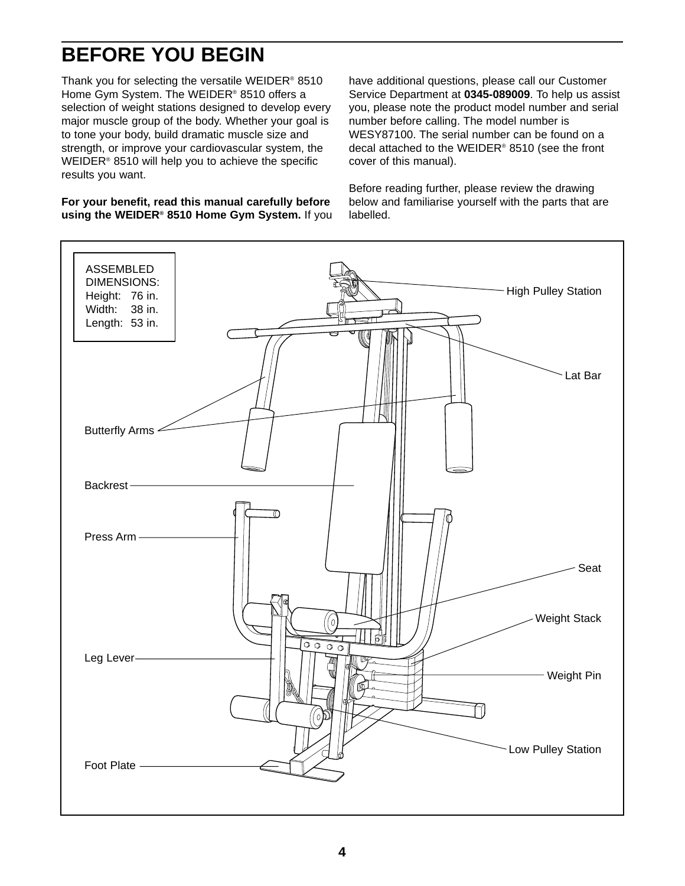## **BEFORE YOU BEGIN**

Thank you for selecting the versatile WEIDER® 8510 Home Gym System. The WEIDER® 8510 offers a selection of weight stations designed to develop every major muscle group of the body. Whether your goal is to tone your body, build dramatic muscle size and strength, or improve your cardiovascular system, the WEIDER® 8510 will help you to achieve the specific results you want.

**For your benefit, read this manual carefully before using the WEIDER® 8510 Home Gym System.** If you have additional questions, please call our Customer Service Department at **0345-089009**. To help us assist you, please note the product model number and serial number before calling. The model number is WESY87100. The serial number can be found on a decal attached to the WEIDER® 8510 (see the front cover of this manual).

Before reading further, please review the drawing below and familiarise yourself with the parts that are labelled.

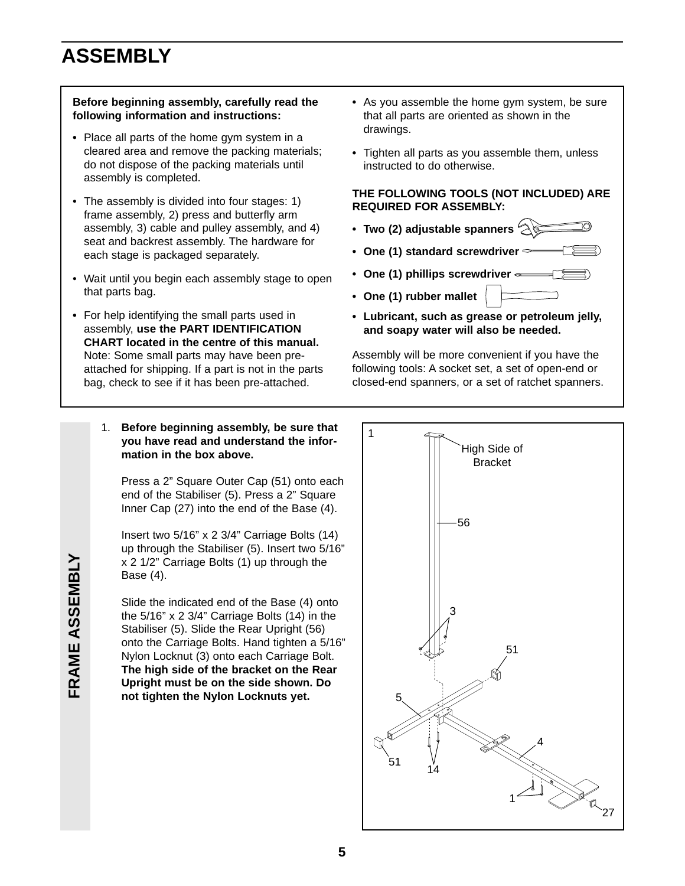## **ASSEMBLY**

#### **Before beginning assembly, carefully read the following information and instructions:**

- **•** Place all parts of the home gym system in a cleared area and remove the packing materials; do not dispose of the packing materials until assembly is completed.
- The assembly is divided into four stages: 1) frame assembly, 2) press and butterfly arm assembly, 3) cable and pulley assembly, and 4) seat and backrest assembly. The hardware for each stage is packaged separately.
- Wait until you begin each assembly stage to open that parts bag.
- **•** For help identifying the small parts used in assembly, **use the PART IDENTIFICATION CHART located in the centre of this manual.** Note: Some small parts may have been preattached for shipping. If a part is not in the parts bag, check to see if it has been pre-attached.
- **•** As you assemble the home gym system, be sure that all parts are oriented as shown in the drawings.
- **•** Tighten all parts as you assemble them, unless instructed to do otherwise.

#### **THE FOLLOWING TOOLS (NOT INCLUDED) ARE REQUIRED FOR ASSEMBLY:**

- **Two (2) adjustable spanners**
- **One (1) standard screwdriver**
- **One (1) phillips screwdriver**
- **One (1) rubber mallet**
- **Lubricant, such as grease or petroleum jelly, and soapy water will also be needed.**

Assembly will be more convenient if you have the following tools: A socket set, a set of open-end or closed-end spanners, or a set of ratchet spanners.

1. **Before beginning assembly, be sure that you have read and understand the information in the box above.**

Press a 2" Square Outer Cap (51) onto each end of the Stabiliser (5). Press a 2" Square Inner Cap (27) into the end of the Base (4).

Insert two 5/16" x 2 3/4" Carriage Bolts (14) up through the Stabiliser (5). Insert two 5/16" x 2 1/2" Carriage Bolts (1) up through the Base (4).

Slide the indicated end of the Base (4) onto the 5/16" x 2 3/4" Carriage Bolts (14) in the Stabiliser (5). Slide the Rear Upright (56) onto the Carriage Bolts. Hand tighten a 5/16" Nylon Locknut (3) onto each Carriage Bolt. **The high side of the bracket on the Rear Upright must be on the side shown. Do not tighten the Nylon Locknuts yet.**



# **FRAME ASSEMBLY FRAME ASSEMBLY**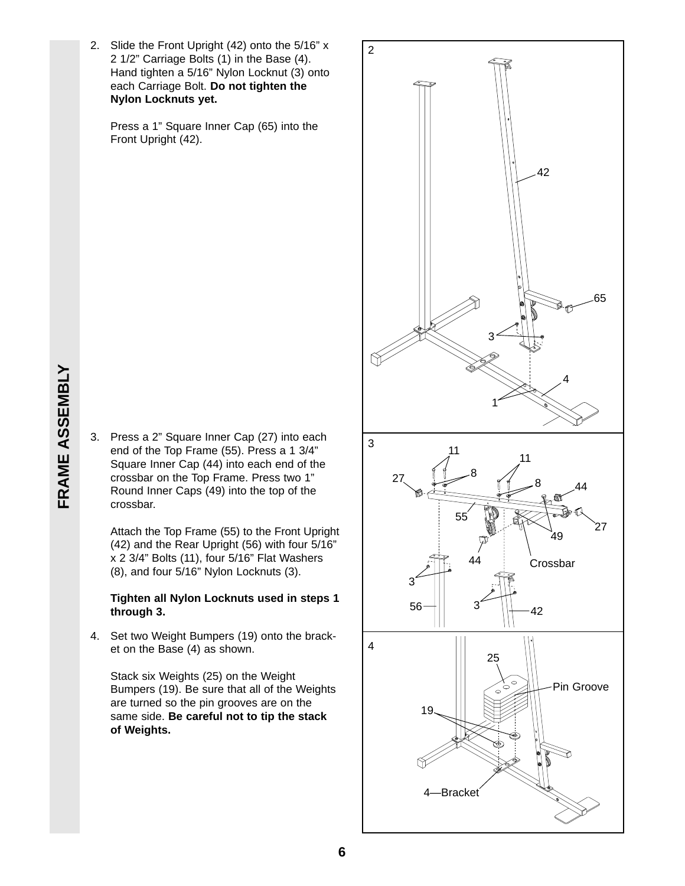FRAME ASSEMBLY **FRAME ASSEMBLY**

2. Slide the Front Upright (42) onto the 5/16" x 2 1/2" Carriage Bolts (1) in the Base (4). Hand tighten a 5/16" Nylon Locknut (3) onto each Carriage Bolt. **Do not tighten the Nylon Locknuts yet.**

Press a 1" Square Inner Cap (65) into the Front Upright (42).

3. Press a 2" Square Inner Cap (27) into each end of the Top Frame (55). Press a 1 3/4" Square Inner Cap (44) into each end of the crossbar on the Top Frame. Press two 1" Round Inner Caps (49) into the top of the crossbar.

Attach the Top Frame (55) to the Front Upright (42) and the Rear Upright (56) with four 5/16" x 2 3/4" Bolts (11), four 5/16" Flat Washers (8), and four 5/16" Nylon Locknuts (3).

#### **Tighten all Nylon Locknuts used in steps 1 through 3.**

4. Set two Weight Bumpers (19) onto the bracket on the Base (4) as shown.

Stack six Weights (25) on the Weight Bumpers (19). Be sure that all of the Weights are turned so the pin grooves are on the same side. **Be careful not to tip the stack of Weights.**

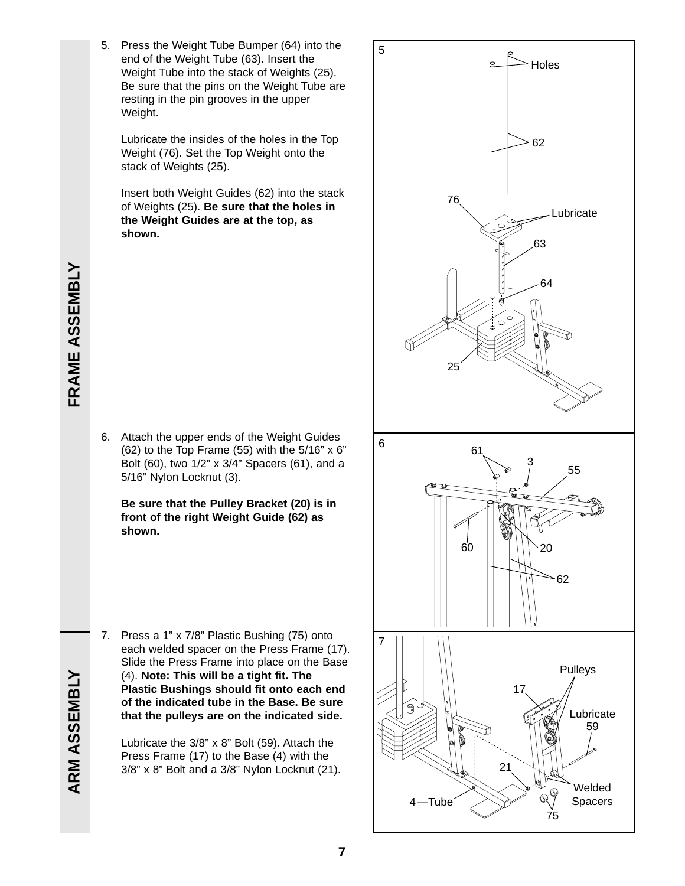5. Press the Weight Tube Bumper (64) into the end of the Weight Tube (63). Insert the Weight Tube into the stack of Weights (25). Be sure that the pins on the Weight Tube are resting in the pin grooves in the upper Weight.

Lubricate the insides of the holes in the Top Weight (76). Set the Top Weight onto the stack of Weights (25).

Insert both Weight Guides (62) into the stack of Weights (25). **Be sure that the holes in the Weight Guides are at the top, as shown.** 

6. Attach the upper ends of the Weight Guides (62) to the Top Frame (55) with the  $5/16$ " x 6" Bolt (60), two 1/2" x 3/4" Spacers (61), and a 5/16" Nylon Locknut (3).

**Be sure that the Pulley Bracket (20) is in front of the right Weight Guide (62) as shown.**

7. Press a 1" x 7/8" Plastic Bushing (75) onto each welded spacer on the Press Frame (17). Slide the Press Frame into place on the Base (4). **Note: This will be a tight fit. The Plastic Bushings should fit onto each end of the indicated tube in the Base. Be sure that the pulleys are on the indicated side.**

Lubricate the 3/8" x 8" Bolt (59). Attach the Press Frame (17) to the Base (4) with the 3/8" x 8" Bolt and a 3/8" Nylon Locknut (21).



**FRAME ASSEMBLY FRAME ASSEMBLY**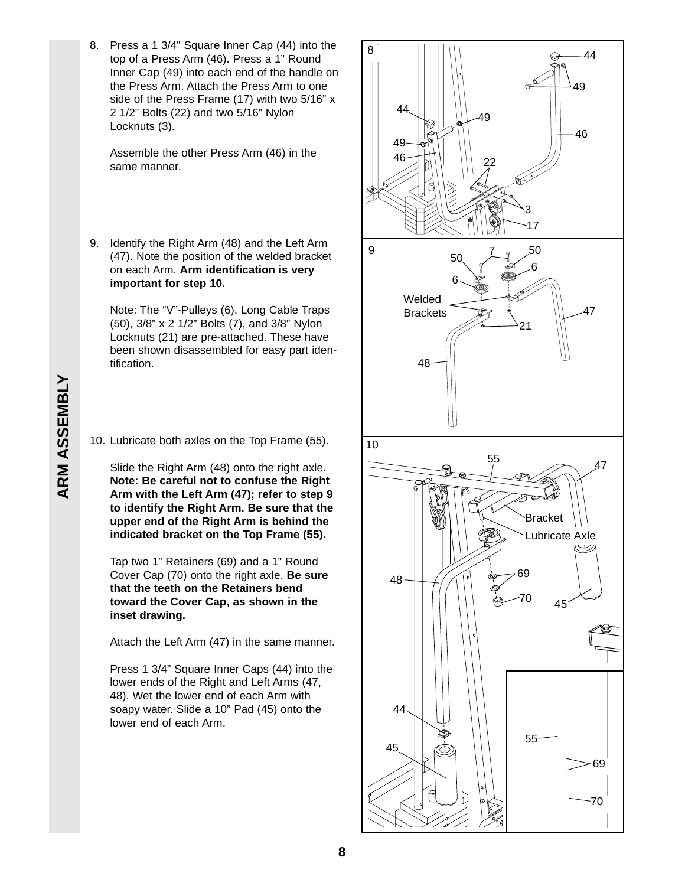8. Press a 1 3/4" Square Inner Cap (44) into the top of a Press Arm (46). Press a 1" Round Inner Cap (49) into each end of the handle on the Press Arm. Attach the Press Arm to one side of the Press Frame (17) with two 5/16" x 2 1/2" Bolts (22) and two 5/16" Nylon Locknuts (3).

Assemble the other Press Arm (46) in the same manner.

9. Identify the Right Arm (48) and the Left Arm (47). Note the position of the welded bracket on each Arm. **Arm identification is very important for step 10.**

Note: The "V"-Pulleys (6), Long Cable Traps (50), 3/8" x 2 1/2" Bolts (7), and 3/8" Nylon Locknuts (21) are pre-attached. These have been shown disassembled for easy part identification.

#### 10. Lubricate both axles on the Top Frame (55).

Slide the Right Arm (48) onto the right axle. **Note: Be careful not to confuse the Right Arm with the Left Arm (47); refer to step 9 to identify the Right Arm. Be sure that the upper end of the Right Arm is behind the indicated bracket on the Top Frame (55).**

Tap two 1" Retainers (69) and a 1" Round Cover Cap (70) onto the right axle. **Be sure that the teeth on the Retainers bend toward the Cover Cap, as shown in the inset drawing.**

Attach the Left Arm (47) in the same manner.

Press 1 3/4" Square Inner Caps (44) into the lower ends of the Right and Left Arms (47, 48). Wet the lower end of each Arm with soapy water. Slide a 10" Pad (45) onto the lower end of each Arm.

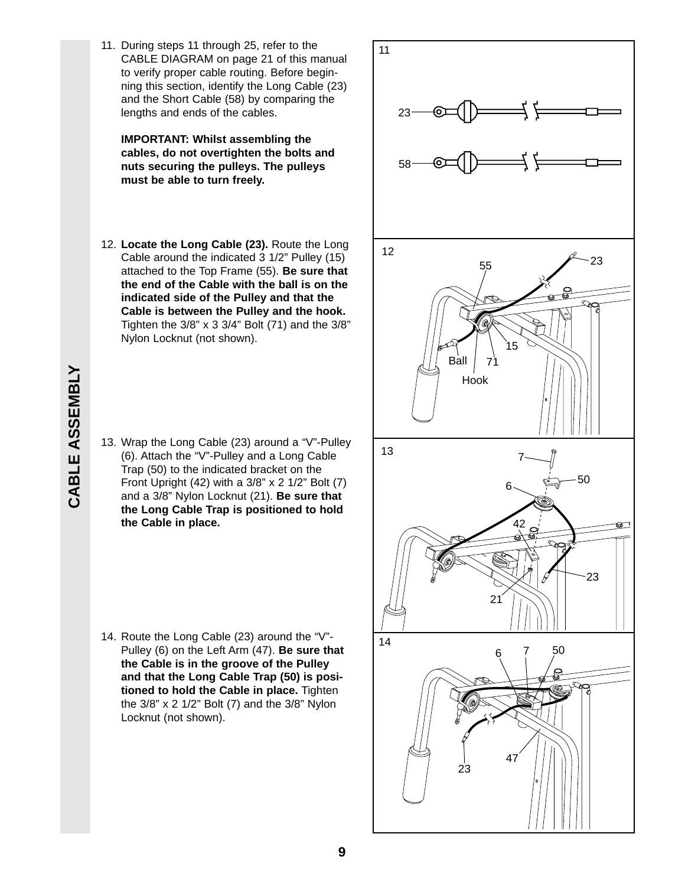11. During steps 11 through 25, refer to the CABLE DIAGRAM on page 21 of this manual to verify proper cable routing. Before beginning this section, identify the Long Cable (23) and the Short Cable (58) by comparing the lengths and ends of the cables.

**IMPORTANT: Whilst assembling the cables, do not overtighten the bolts and nuts securing the pulleys. The pulleys must be able to turn freely.**

12. **Locate the Long Cable (23).** Route the Long Cable around the indicated 3 1/2" Pulley (15) attached to the Top Frame (55). **Be sure that the end of the Cable with the ball is on the indicated side of the Pulley and that the Cable is between the Pulley and the hook.** Tighten the 3/8" x 3 3/4" Bolt (71) and the 3/8" Nylon Locknut (not shown).

13. Wrap the Long Cable (23) around a "V"-Pulley (6). Attach the "V"-Pulley and a Long Cable Trap (50) to the indicated bracket on the Front Upright (42) with a 3/8" x 2 1/2" Bolt (7) and a 3/8" Nylon Locknut (21). **Be sure that the Long Cable Trap is positioned to hold the Cable in place.**

14. Route the Long Cable (23) around the "V"- Pulley (6) on the Left Arm (47). **Be sure that the Cable is in the groove of the Pulley and that the Long Cable Trap (50) is positioned to hold the Cable in place.** Tighten the 3/8" x 2 1/2" Bolt (7) and the 3/8" Nylon Locknut (not shown).

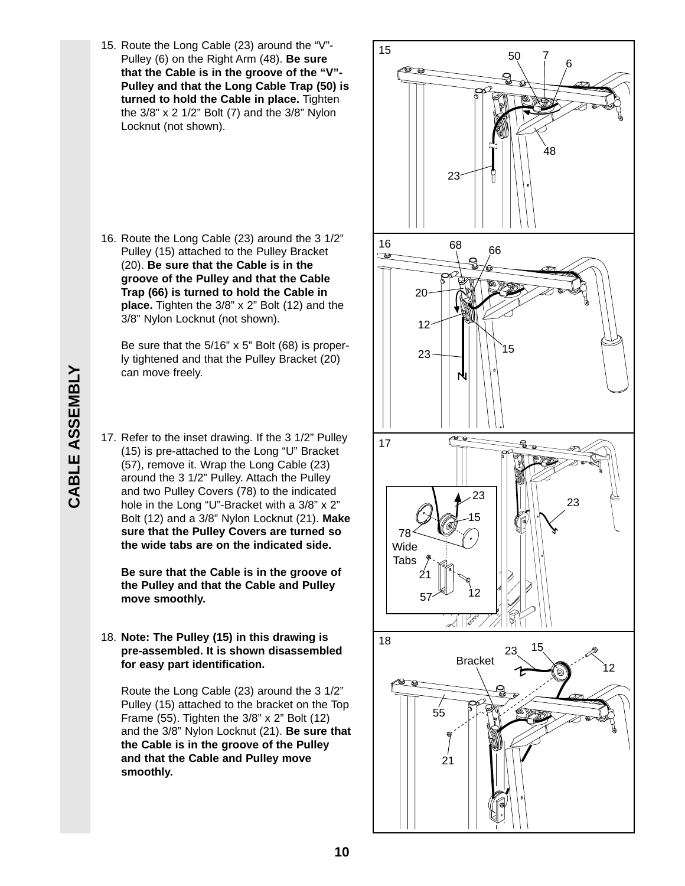15. Route the Long Cable (23) around the "V"- Pulley (6) on the Right Arm (48). **Be sure that the Cable is in the groove of the "V"- Pulley and that the Long Cable Trap (50) is turned to hold the Cable in place.** Tighten the 3/8" x 2 1/2" Bolt (7) and the 3/8" Nylon Locknut (not shown).

16. Route the Long Cable (23) around the 3 1/2" Pulley (15) attached to the Pulley Bracket (20). **Be sure that the Cable is in the groove of the Pulley and that the Cable Trap (66) is turned to hold the Cable in place.** Tighten the 3/8" x 2" Bolt (12) and the 3/8" Nylon Locknut (not shown).

Be sure that the 5/16" x 5" Bolt (68) is properly tightened and that the Pulley Bracket (20) can move freely.

17. Refer to the inset drawing. If the 3 1/2" Pulley (15) is pre-attached to the Long "U" Bracket (57), remove it. Wrap the Long Cable (23) around the 3 1/2" Pulley. Attach the Pulley and two Pulley Covers (78) to the indicated hole in the Long "U"-Bracket with a 3/8" x 2" Bolt (12) and a 3/8" Nylon Locknut (21). **Make sure that the Pulley Covers are turned so the wide tabs are on the indicated side.** 

**Be sure that the Cable is in the groove of the Pulley and that the Cable and Pulley move smoothly.**

18. **Note: The Pulley (15) in this drawing is pre-assembled. It is shown disassembled for easy part identification.** 

Route the Long Cable (23) around the 3 1/2" Pulley (15) attached to the bracket on the Top Frame (55). Tighten the 3/8" x 2" Bolt (12) and the 3/8" Nylon Locknut (21). **Be sure that the Cable is in the groove of the Pulley and that the Cable and Pulley move smoothly.**

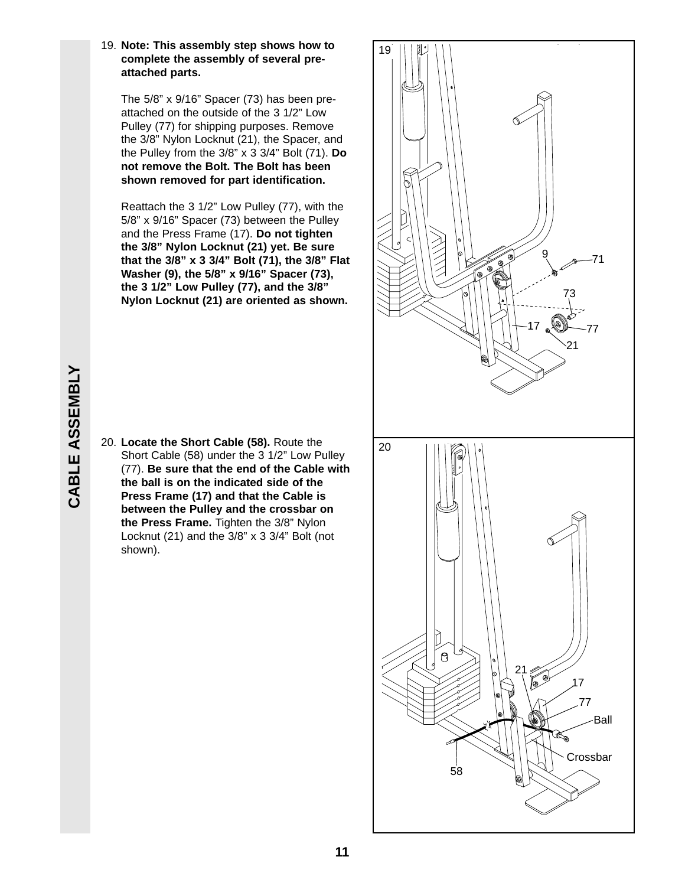#### 19. **Note: This assembly step shows how to complete the assembly of several preattached parts.**

The 5/8" x 9/16" Spacer (73) has been preattached on the outside of the 3 1/2" Low Pulley (77) for shipping purposes. Remove the 3/8" Nylon Locknut (21), the Spacer, and the Pulley from the 3/8" x 3 3/4" Bolt (71). **Do not remove the Bolt. The Bolt has been shown removed for part identification.**

Reattach the 3 1/2" Low Pulley (77), with the 5/8" x 9/16" Spacer (73) between the Pulley and the Press Frame (17). **Do not tighten the 3/8" Nylon Locknut (21) yet. Be sure that the 3/8" x 3 3/4" Bolt (71), the 3/8" Flat Washer (9), the 5/8" x 9/16" Spacer (73), the 3 1/2" Low Pulley (77), and the 3/8" Nylon Locknut (21) are oriented as shown.** 





# **CABLE ASSEMBLY** CABLE ASSEMBLY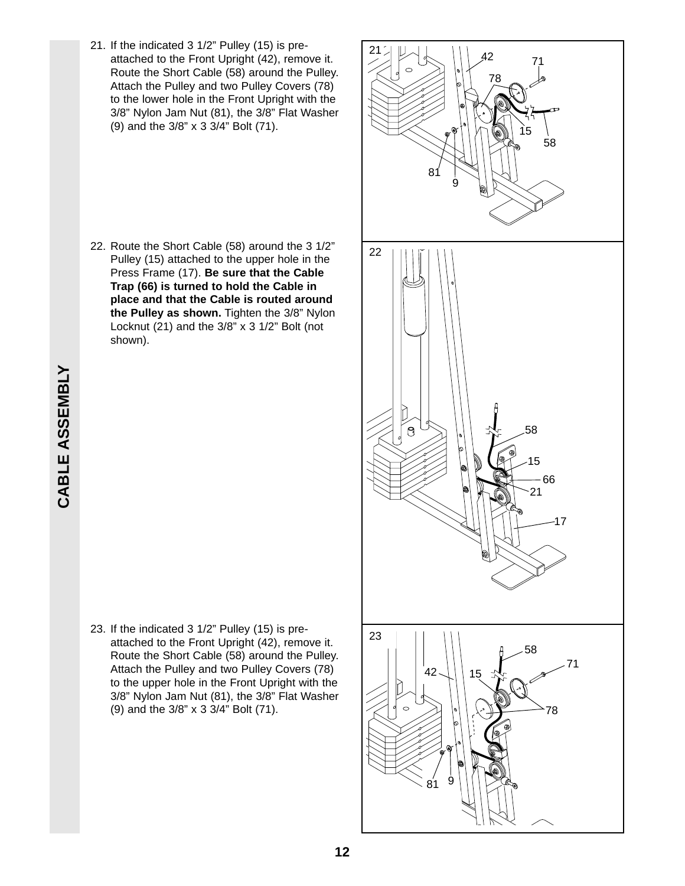21. If the indicated 3 1/2" Pulley (15) is preattached to the Front Upright (42), remove it. Route the Short Cable (58) around the Pulley. Attach the Pulley and two Pulley Covers (78) to the lower hole in the Front Upright with the 3/8" Nylon Jam Nut (81), the 3/8" Flat Washer (9) and the 3/8" x 3 3/4" Bolt (71).

22. Route the Short Cable (58) around the 3 1/2" Pulley (15) attached to the upper hole in the Press Frame (17). **Be sure that the Cable Trap (66) is turned to hold the Cable in place and that the Cable is routed around the Pulley as shown.** Tighten the 3/8" Nylon Locknut (21) and the 3/8" x 3 1/2" Bolt (not shown).



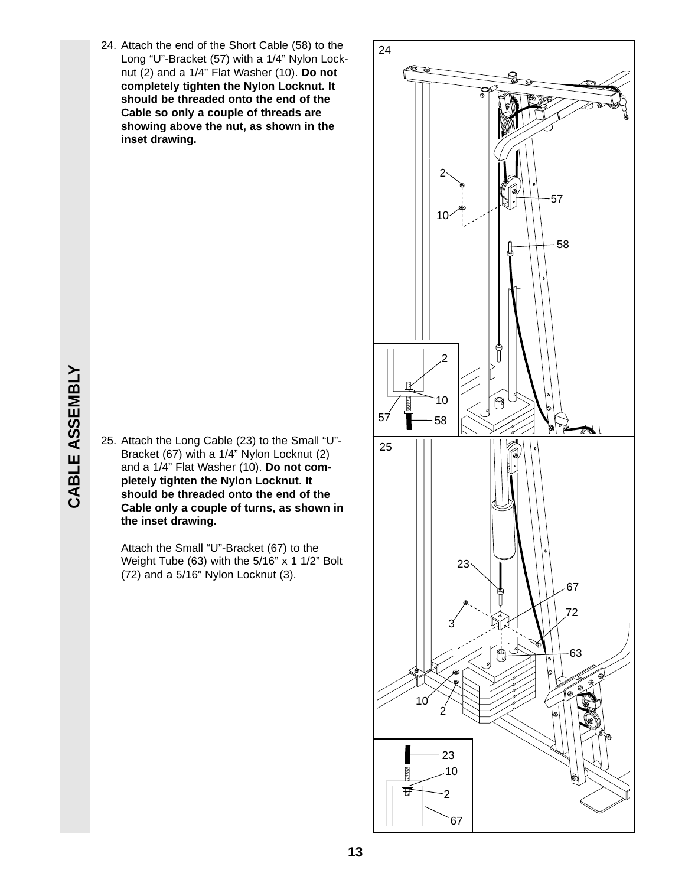24. Attach the end of the Short Cable (58) to the Long "U"-Bracket (57) with a 1/4" Nylon Locknut (2) and a 1/4" Flat Washer (10). **Do not completely tighten the Nylon Locknut. It should be threaded onto the end of the Cable so only a couple of threads are showing above the nut, as shown in the inset drawing.**

25. Attach the Long Cable (23) to the Small "U"- Bracket (67) with a 1/4" Nylon Locknut (2) and a 1/4" Flat Washer (10). **Do not completely tighten the Nylon Locknut. It should be threaded onto the end of the Cable only a couple of turns, as shown in the inset drawing.**

Attach the Small "U"-Bracket (67) to the Weight Tube (63) with the 5/16" x 1 1/2" Bolt (72) and a 5/16" Nylon Locknut (3).

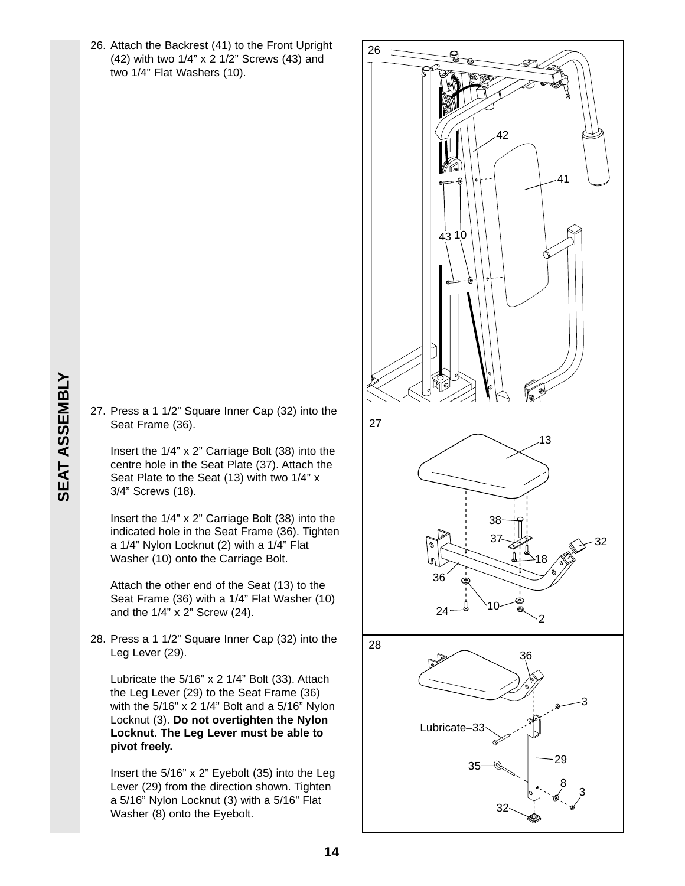- 26. Attach the Backrest (41) to the Front Upright (42) with two 1/4" x 2 1/2" Screws (43) and two 1/4" Flat Washers (10).
- 26 27 28 41 42 10 2 24 36 36 3 Lubricate–33 29 8 3 32 35 13 38  $37\frac{13}{2}$   $\leftarrow$  32 18 43 10
- **SEAT ASSEMBLY SEAT ASSEMBLY**
	- 27. Press a 1 1/2" Square Inner Cap (32) into the Seat Frame (36).

Insert the 1/4" x 2" Carriage Bolt (38) into the centre hole in the Seat Plate (37). Attach the Seat Plate to the Seat (13) with two 1/4" x 3/4" Screws (18).

Insert the 1/4" x 2" Carriage Bolt (38) into the indicated hole in the Seat Frame (36). Tighten a 1/4" Nylon Locknut (2) with a 1/4" Flat Washer (10) onto the Carriage Bolt.

Attach the other end of the Seat (13) to the Seat Frame (36) with a 1/4" Flat Washer (10) and the 1/4" x 2" Screw (24).

28. Press a 1 1/2" Square Inner Cap (32) into the Leg Lever (29).

Lubricate the 5/16" x 2 1/4" Bolt (33). Attach the Leg Lever (29) to the Seat Frame (36) with the 5/16" x 2 1/4" Bolt and a 5/16" Nylon Locknut (3). **Do not overtighten the Nylon Locknut. The Leg Lever must be able to pivot freely.**

Insert the 5/16" x 2" Eyebolt (35) into the Leg Lever (29) from the direction shown. Tighten a 5/16" Nylon Locknut (3) with a 5/16" Flat Washer (8) onto the Eyebolt.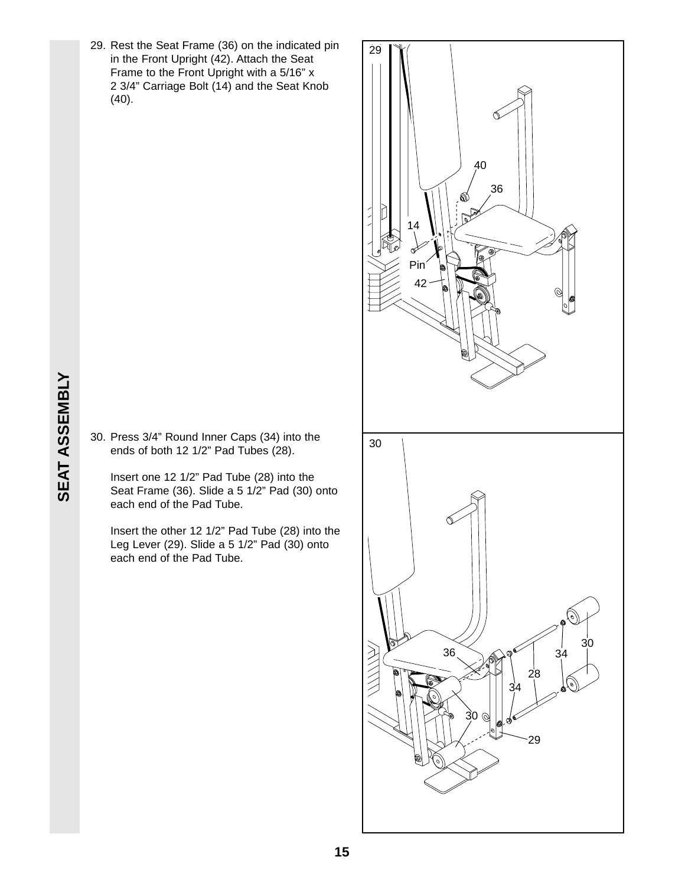29. Rest the Seat Frame (36) on the indicated pin in the Front Upright (42). Attach the Seat Frame to the Front Upright with a 5/16" x 2 3/4" Carriage Bolt (14) and the Seat Knob (40).



30. Press 3/4" Round Inner Caps (34) into the ends of both 12 1/2" Pad Tubes (28).

Insert one 12 1/2" Pad Tube (28) into the Seat Frame (36). Slide a 5 1/2" Pad (30) onto each end of the Pad Tube.

Insert the other 12 1/2" Pad Tube (28) into the Leg Lever (29). Slide a 5 1/2" Pad (30) onto each end of the Pad Tube.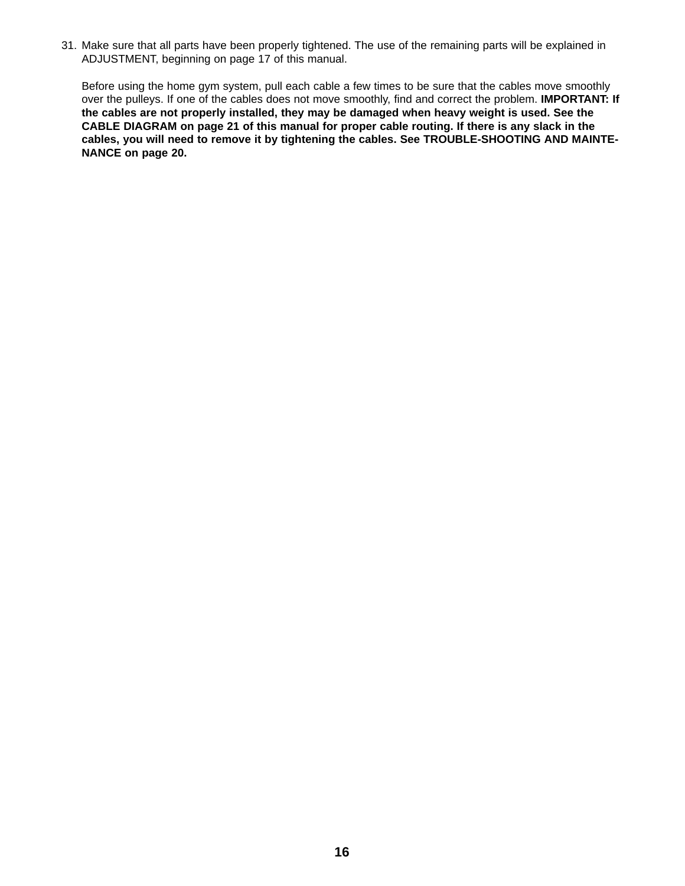31. Make sure that all parts have been properly tightened. The use of the remaining parts will be explained in ADJUSTMENT, beginning on page 17 of this manual.

Before using the home gym system, pull each cable a few times to be sure that the cables move smoothly over the pulleys. If one of the cables does not move smoothly, find and correct the problem. **IMPORTANT: If the cables are not properly installed, they may be damaged when heavy weight is used. See the CABLE DIAGRAM on page 21 of this manual for proper cable routing. If there is any slack in the cables, you will need to remove it by tightening the cables. See TROUBLE-SHOOTING AND MAINTE-NANCE on page 20.**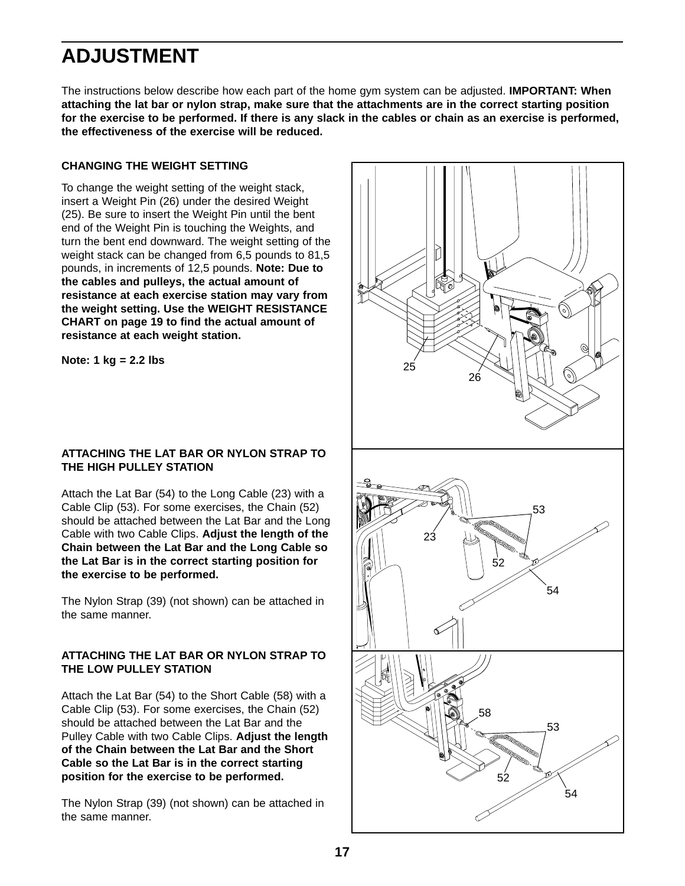## **ADJUSTMENT**

The instructions below describe how each part of the home gym system can be adjusted. **IMPORTANT: When attaching the lat bar or nylon strap, make sure that the attachments are in the correct starting position for the exercise to be performed. If there is any slack in the cables or chain as an exercise is performed, the effectiveness of the exercise will be reduced.** 

#### **CHANGING THE WEIGHT SETTING**

To change the weight setting of the weight stack, insert a Weight Pin (26) under the desired Weight (25). Be sure to insert the Weight Pin until the bent end of the Weight Pin is touching the Weights, and turn the bent end downward. The weight setting of the weight stack can be changed from 6,5 pounds to 81,5 pounds, in increments of 12,5 pounds. **Note: Due to the cables and pulleys, the actual amount of resistance at each exercise station may vary from the weight setting. Use the WEIGHT RESISTANCE CHART on page 19 to find the actual amount of resistance at each weight station.**

**Note: 1 kg = 2.2 lbs**

#### **ATTACHING THE LAT BAR OR NYLON STRAP TO THE HIGH PULLEY STATION**

Attach the Lat Bar (54) to the Long Cable (23) with a Cable Clip (53). For some exercises, the Chain (52) should be attached between the Lat Bar and the Long Cable with two Cable Clips. **Adjust the length of the Chain between the Lat Bar and the Long Cable so the Lat Bar is in the correct starting position for the exercise to be performed.**

The Nylon Strap (39) (not shown) can be attached in the same manner.

#### **ATTACHING THE LAT BAR OR NYLON STRAP TO THE LOW PULLEY STATION**

Attach the Lat Bar (54) to the Short Cable (58) with a Cable Clip (53). For some exercises, the Chain (52) should be attached between the Lat Bar and the Pulley Cable with two Cable Clips. **Adjust the length of the Chain between the Lat Bar and the Short Cable so the Lat Bar is in the correct starting position for the exercise to be performed.**

The Nylon Strap (39) (not shown) can be attached in the same manner.

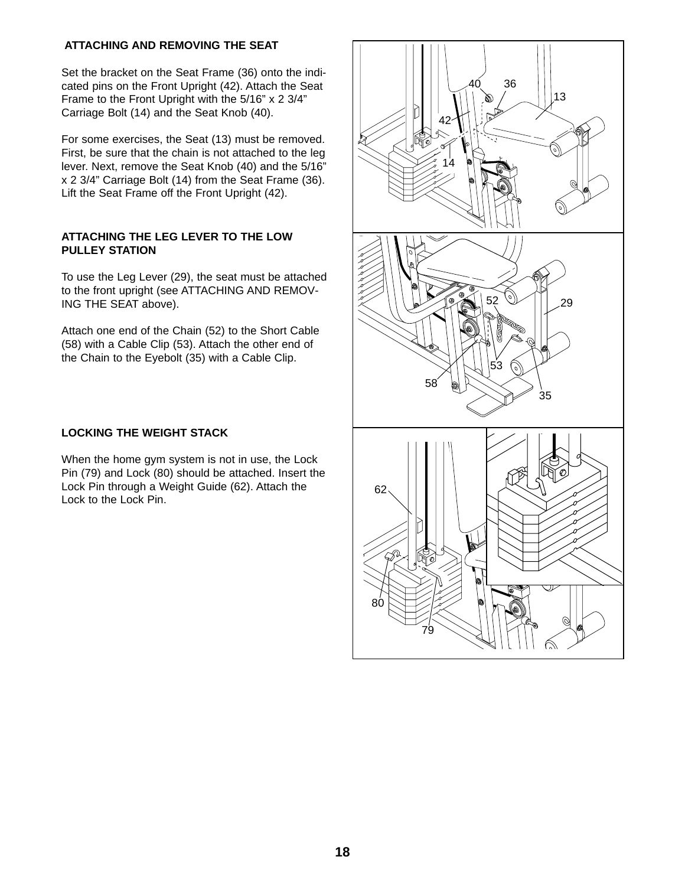#### **ATTACHING AND REMOVING THE SEAT**

Set the bracket on the Seat Frame (36) onto the indicated pins on the Front Upright (42). Attach the Seat Frame to the Front Upright with the 5/16" x 2 3/4" Carriage Bolt (14) and the Seat Knob (40).

For some exercises, the Seat (13) must be removed. First, be sure that the chain is not attached to the leg lever. Next, remove the Seat Knob (40) and the 5/16" x 2 3/4" Carriage Bolt (14) from the Seat Frame (36). Lift the Seat Frame off the Front Upright (42).

#### **ATTACHING THE LEG LEVER TO THE LOW PULLEY STATION**

To use the Leg Lever (29), the seat must be attached to the front upright (see ATTACHING AND REMOV-ING THE SEAT above).

Attach one end of the Chain (52) to the Short Cable (58) with a Cable Clip (53). Attach the other end of the Chain to the Eyebolt (35) with a Cable Clip.

#### **LOCKING THE WEIGHT STACK**

When the home gym system is not in use, the Lock Pin (79) and Lock (80) should be attached. Insert the Lock Pin through a Weight Guide (62). Attach the Lock to the Lock Pin.

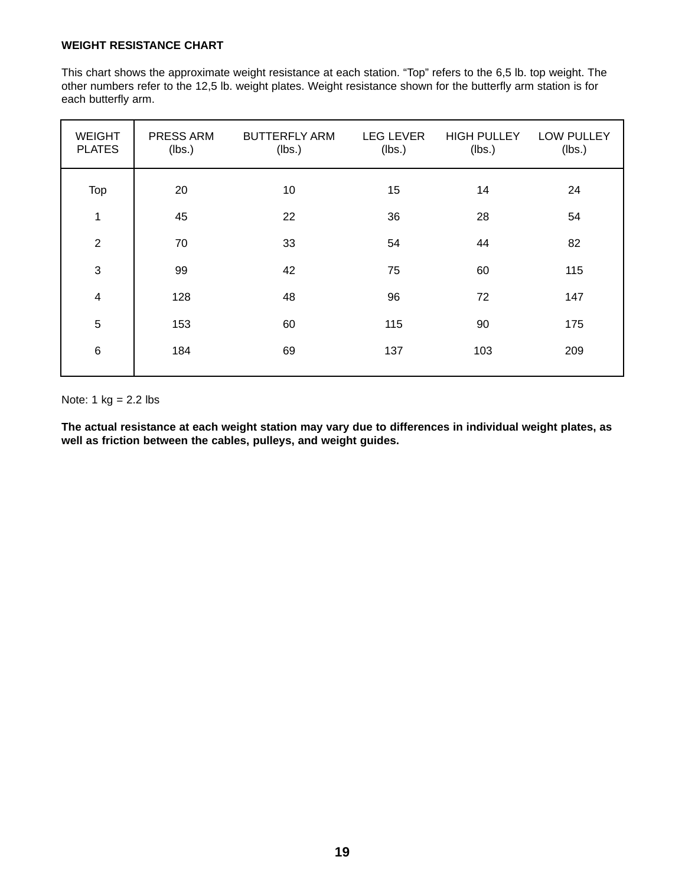#### **WEIGHT RESISTANCE CHART**

This chart shows the approximate weight resistance at each station. "Top" refers to the 6,5 lb. top weight. The other numbers refer to the 12,5 lb. weight plates. Weight resistance shown for the butterfly arm station is for each butterfly arm.

| <b>WEIGHT</b><br><b>PLATES</b> | PRESS ARM<br>(lbs.) | <b>BUTTERFLY ARM</b><br>(lbs.) | <b>LEG LEVER</b><br>(lbs.) | <b>HIGH PULLEY</b><br>(lbs.) | <b>LOW PULLEY</b><br>(lbs.) |
|--------------------------------|---------------------|--------------------------------|----------------------------|------------------------------|-----------------------------|
| Top                            | 20                  | 10                             | 15                         | 14                           | 24                          |
| $\mathbf 1$                    | 45                  | 22                             | 36                         | 28                           | 54                          |
| $\overline{2}$                 | 70                  | 33                             | 54                         | 44                           | 82                          |
| $\sqrt{3}$                     | 99                  | 42                             | 75                         | 60                           | 115                         |
| $\overline{4}$                 | 128                 | 48                             | 96                         | 72                           | 147                         |
| $5\phantom{.0}$                | 153                 | 60                             | 115                        | 90                           | 175                         |
| $\,6$                          | 184                 | 69                             | 137                        | 103                          | 209                         |

Note:  $1 \text{ kg} = 2.2 \text{ lbs}$ 

**The actual resistance at each weight station may vary due to differences in individual weight plates, as well as friction between the cables, pulleys, and weight guides.**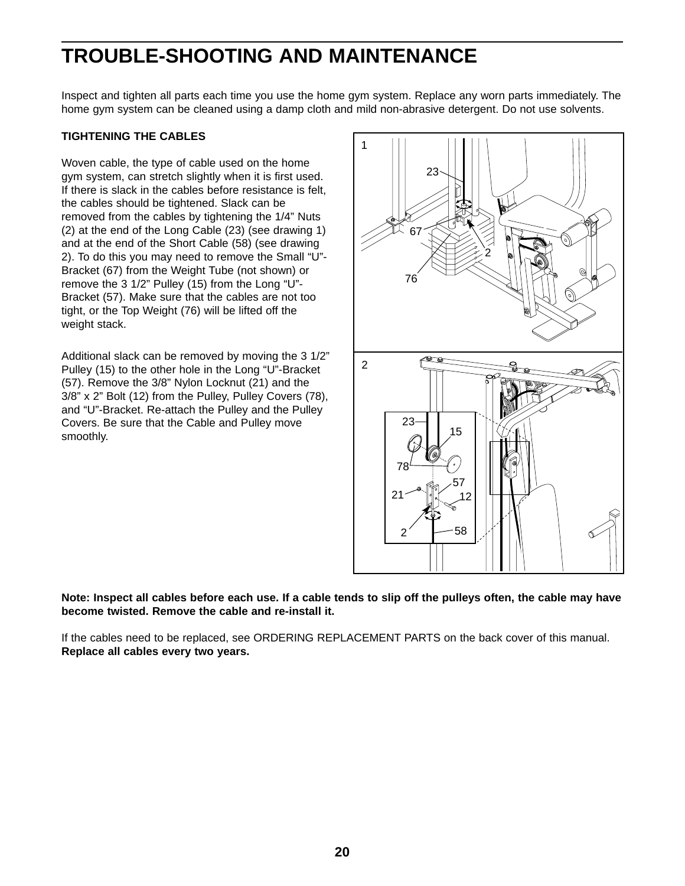## **TROUBLE-SHOOTING AND MAINTENANCE**

Inspect and tighten all parts each time you use the home gym system. Replace any worn parts immediately. The home gym system can be cleaned using a damp cloth and mild non-abrasive detergent. Do not use solvents.

#### **TIGHTENING THE CABLES**

Woven cable, the type of cable used on the home gym system, can stretch slightly when it is first used. If there is slack in the cables before resistance is felt, the cables should be tightened. Slack can be removed from the cables by tightening the 1/4" Nuts (2) at the end of the Long Cable (23) (see drawing 1) and at the end of the Short Cable (58) (see drawing 2). To do this you may need to remove the Small "U"- Bracket (67) from the Weight Tube (not shown) or remove the 3 1/2" Pulley (15) from the Long "U"- Bracket (57). Make sure that the cables are not too tight, or the Top Weight (76) will be lifted off the weight stack.

Additional slack can be removed by moving the 3 1/2" Pulley (15) to the other hole in the Long "U"-Bracket (57). Remove the 3/8" Nylon Locknut (21) and the 3/8" x 2" Bolt (12) from the Pulley, Pulley Covers (78), and "U"-Bracket. Re-attach the Pulley and the Pulley Covers. Be sure that the Cable and Pulley move smoothly.



**Note: Inspect all cables before each use. If a cable tends to slip off the pulleys often, the cable may have become twisted. Remove the cable and re-install it.**

If the cables need to be replaced, see ORDERING REPLACEMENT PARTS on the back cover of this manual. **Replace all cables every two years.**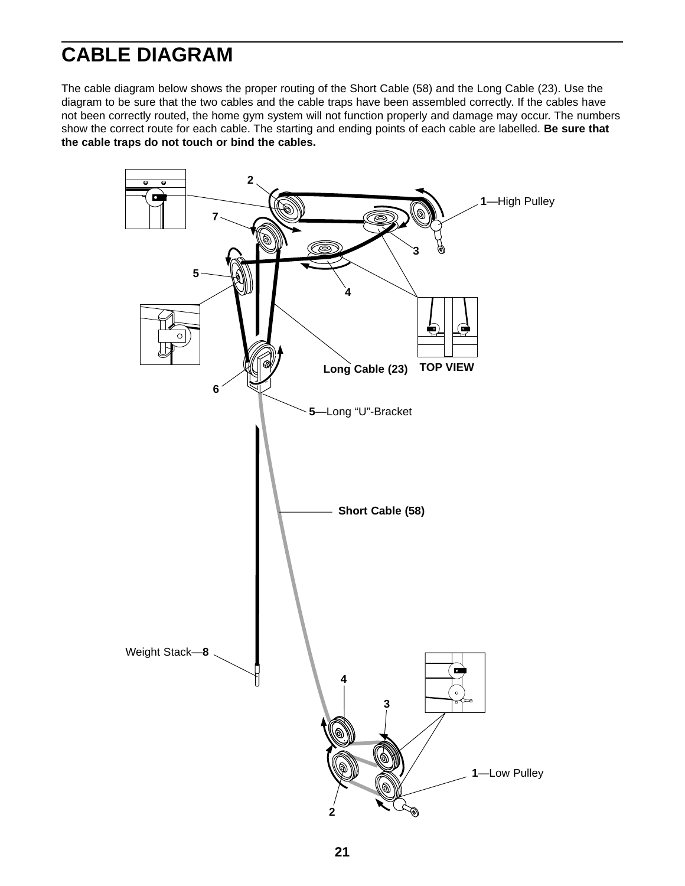## **CABLE DIAGRAM**

The cable diagram below shows the proper routing of the Short Cable (58) and the Long Cable (23). Use the diagram to be sure that the two cables and the cable traps have been assembled correctly. If the cables have not been correctly routed, the home gym system will not function properly and damage may occur. The numbers show the correct route for each cable. The starting and ending points of each cable are labelled. **Be sure that the cable traps do not touch or bind the cables.**

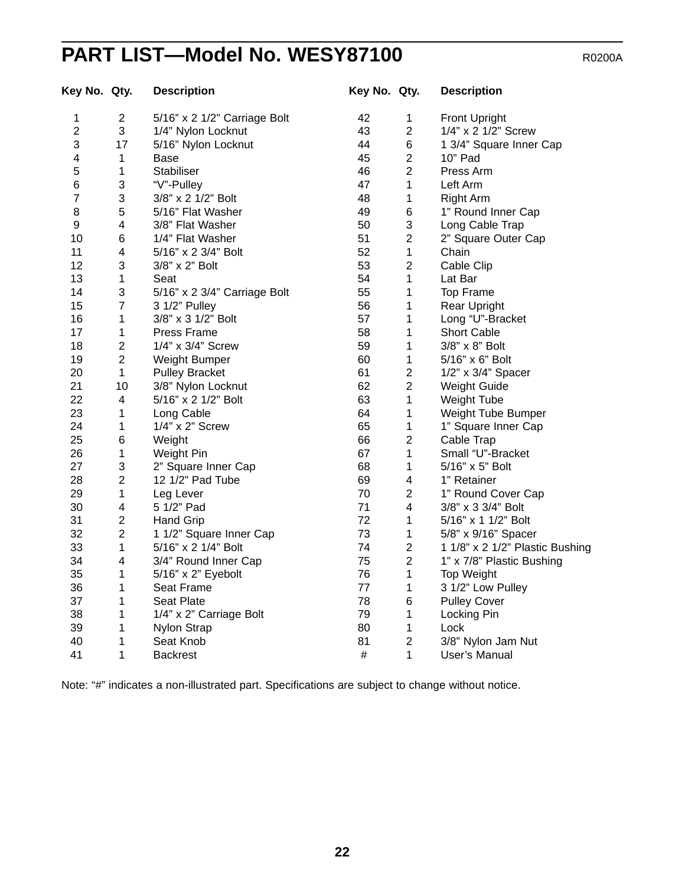## **PART LIST—Model No. WESY87100** R0200A

| Key No. Qty.   |                | <b>Description</b>           | Key No. Qty. |                         | <b>Description</b>              |
|----------------|----------------|------------------------------|--------------|-------------------------|---------------------------------|
| 1              | $\overline{2}$ | 5/16" x 2 1/2" Carriage Bolt | 42           | 1                       | <b>Front Upright</b>            |
| $\overline{2}$ | 3              | 1/4" Nylon Locknut           | 43           | $\overline{2}$          | 1/4" x 2 1/2" Screw             |
| 3              | 17             | 5/16" Nylon Locknut          | 44           | 6                       | 1 3/4" Square Inner Cap         |
| 4              | 1              | Base                         | 45           | $\mathbf 2$             | 10" Pad                         |
| 5              | 1              | Stabiliser                   | 46           | $\overline{2}$          | Press Arm                       |
| 6              | 3              | "V"-Pulley                   | 47           | 1                       | Left Arm                        |
| $\overline{7}$ | 3              | 3/8" x 2 1/2" Bolt           | 48           | 1                       | <b>Right Arm</b>                |
| 8              | 5              | 5/16" Flat Washer            | 49           | 6                       | 1" Round Inner Cap              |
| 9              | 4              | 3/8" Flat Washer             | 50           | 3                       | Long Cable Trap                 |
| 10             | 6              | 1/4" Flat Washer             | 51           | $\overline{2}$          | 2" Square Outer Cap             |
| 11             | 4              | 5/16" x 2 3/4" Bolt          | 52           | $\mathbf{1}$            | Chain                           |
| 12             | 3              | 3/8" x 2" Bolt               | 53           | $\overline{2}$          | Cable Clip                      |
| 13             | 1              | Seat                         | 54           | 1                       | Lat Bar                         |
| 14             | 3              | 5/16" x 2 3/4" Carriage Bolt | 55           | 1                       | Top Frame                       |
| 15             | $\overline{7}$ | 3 1/2" Pulley                | 56           | 1                       | <b>Rear Upright</b>             |
| 16             | 1              | 3/8" x 3 1/2" Bolt           | 57           | 1                       | Long "U"-Bracket                |
| 17             | 1              | Press Frame                  | 58           | 1                       | <b>Short Cable</b>              |
| 18             | $\overline{2}$ | 1/4" x 3/4" Screw            | 59           | 1                       | 3/8" x 8" Bolt                  |
| 19             | $\overline{c}$ | <b>Weight Bumper</b>         | 60           | 1                       | 5/16" x 6" Bolt                 |
| 20             | $\mathbf{1}$   | <b>Pulley Bracket</b>        | 61           | $\overline{c}$          | 1/2" x 3/4" Spacer              |
| 21             | 10             | 3/8" Nylon Locknut           | 62           | $\overline{c}$          | <b>Weight Guide</b>             |
| 22             | 4              | 5/16" x 2 1/2" Bolt          | 63           | $\mathbf{1}$            | Weight Tube                     |
| 23             | 1              | Long Cable                   | 64           | 1                       | Weight Tube Bumper              |
| 24             | 1              | 1/4" x 2" Screw              | 65           | 1                       | 1" Square Inner Cap             |
| 25             | 6              | Weight                       | 66           | $\overline{2}$          | Cable Trap                      |
| 26             | 1              | Weight Pin                   | 67           | $\mathbf{1}$            | Small "U"-Bracket               |
| 27             | 3              | 2" Square Inner Cap          | 68           | 1                       | 5/16" x 5" Bolt                 |
| 28             | $\overline{c}$ | 12 1/2" Pad Tube             | 69           | 4                       | 1" Retainer                     |
| 29             | $\mathbf{1}$   | Leg Lever                    | 70           | $\overline{2}$          | 1" Round Cover Cap              |
| 30             | 4              | 5 1/2" Pad                   | 71           | $\overline{\mathbf{4}}$ | 3/8" x 3 3/4" Bolt              |
| 31             | $\overline{c}$ | <b>Hand Grip</b>             | 72           | 1                       | 5/16" x 1 1/2" Bolt             |
| 32             | $\overline{2}$ | 1 1/2" Square Inner Cap      | 73           | 1                       | 5/8" x 9/16" Spacer             |
| 33             | $\mathbf{1}$   | 5/16" x 2 1/4" Bolt          | 74           | $\overline{2}$          | 1 1/8" x 2 1/2" Plastic Bushing |
| 34             | 4              | 3/4" Round Inner Cap         | 75           | $\overline{2}$          | 1" x 7/8" Plastic Bushing       |
| 35             | 1              | 5/16" x 2" Eyebolt           | 76           | 1                       | Top Weight                      |
| 36             | 1              | Seat Frame                   | 77           | 1                       | 3 1/2" Low Pulley               |
| 37             | 1              | <b>Seat Plate</b>            | 78           | 6                       | <b>Pulley Cover</b>             |
| 38             | 1              | 1/4" x 2" Carriage Bolt      | 79           | 1                       | Locking Pin                     |
| 39             | 1              | Nylon Strap                  | 80           | 1                       | Lock                            |
| 40             | 1              | Seat Knob                    | 81           | $\overline{2}$          | 3/8" Nylon Jam Nut              |
| 41             | 1              | <b>Backrest</b>              | $\#$         | 1                       | User's Manual                   |

Note: "#" indicates a non-illustrated part. Specifications are subject to change without notice.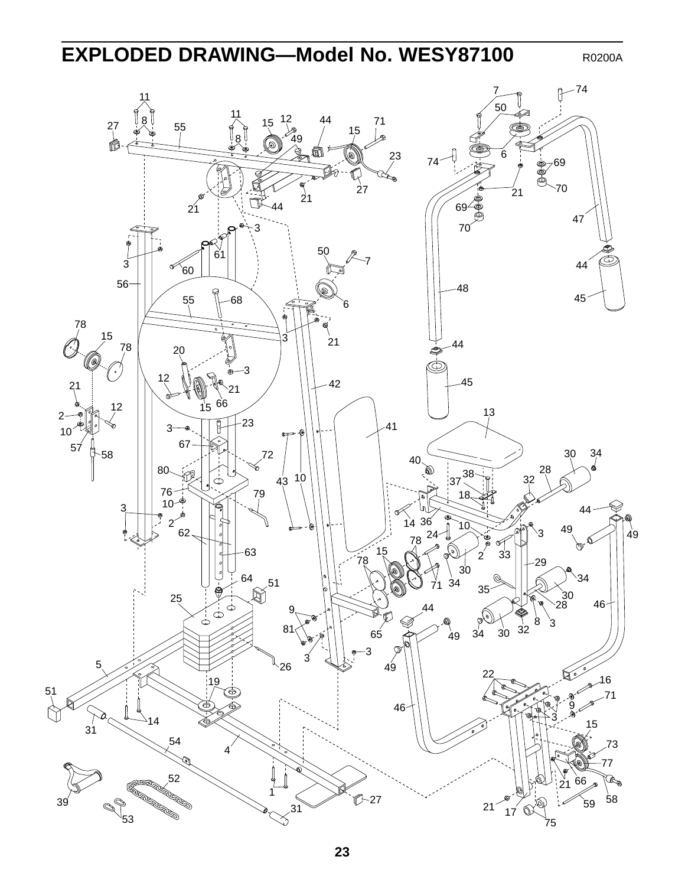## **EXPLODED DRAWING—Model No. WESY87100** R0200A

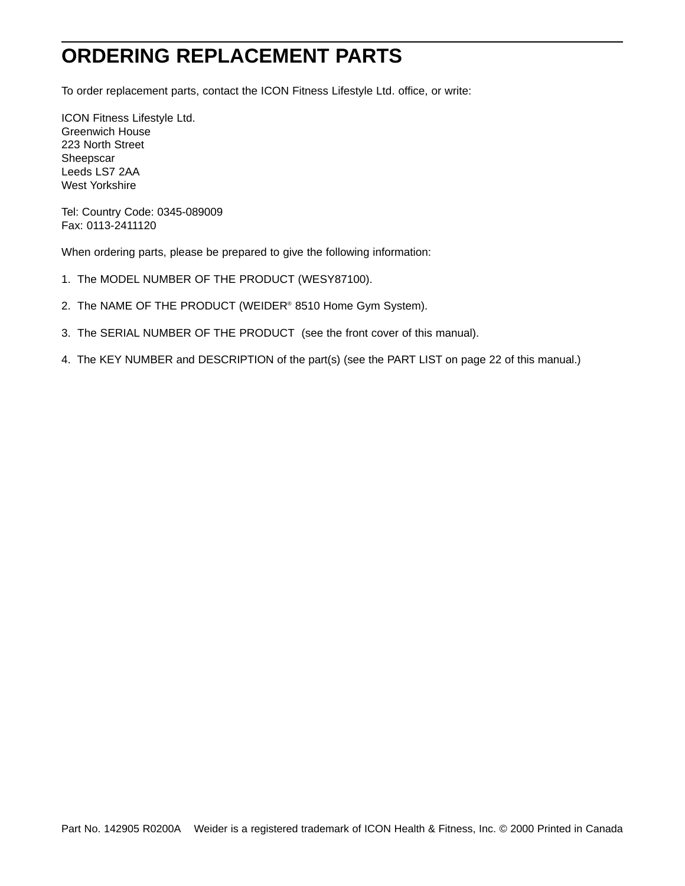## **ORDERING REPLACEMENT PARTS**

To order replacement parts, contact the ICON Fitness Lifestyle Ltd. office, or write:

ICON Fitness Lifestyle Ltd. Greenwich House 223 North Street **Sheepscar** Leeds LS7 2AA West Yorkshire

Tel: Country Code: 0345-089009 Fax: 0113-2411120

When ordering parts, please be prepared to give the following information:

- 1. The MODEL NUMBER OF THE PRODUCT (WESY87100).
- 2. The NAME OF THE PRODUCT (WEIDER® 8510 Home Gym System).
- 3. The SERIAL NUMBER OF THE PRODUCT (see the front cover of this manual).
- 4. The KEY NUMBER and DESCRIPTION of the part(s) (see the PART LIST on page 22 of this manual.)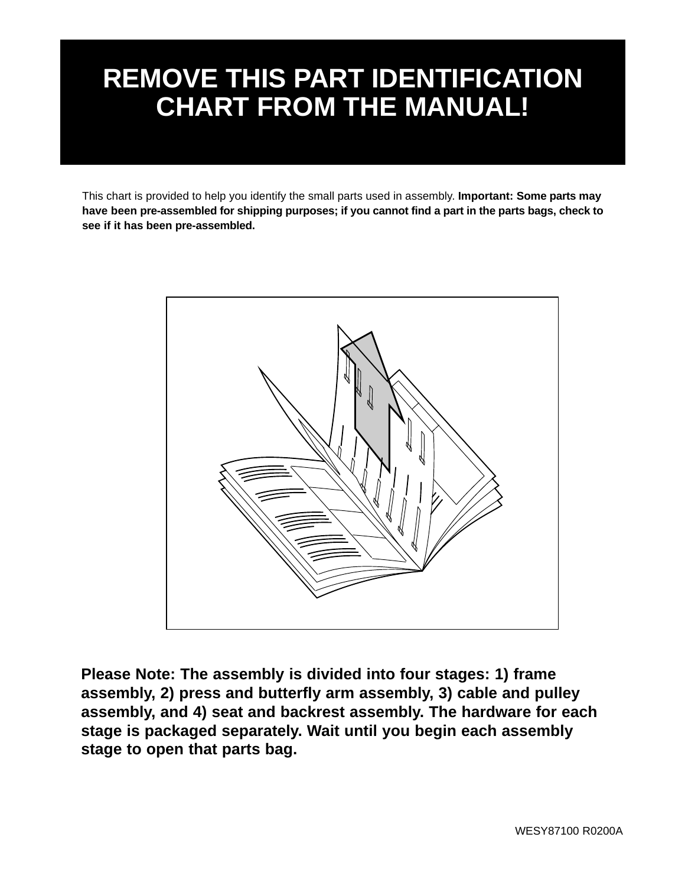# **REMOVE THIS PART IDENTIFICATION CHART FROM THE MANUAL!**

This chart is provided to help you identify the small parts used in assembly. **Important: Some parts may have been pre-assembled for shipping purposes; if you cannot find a part in the parts bags, check to see if it has been pre-assembled.**



**Please Note: The assembly is divided into four stages: 1) frame assembly, 2) press and butterfly arm assembly, 3) cable and pulley assembly, and 4) seat and backrest assembly. The hardware for each stage is packaged separately. Wait until you begin each assembly stage to open that parts bag.**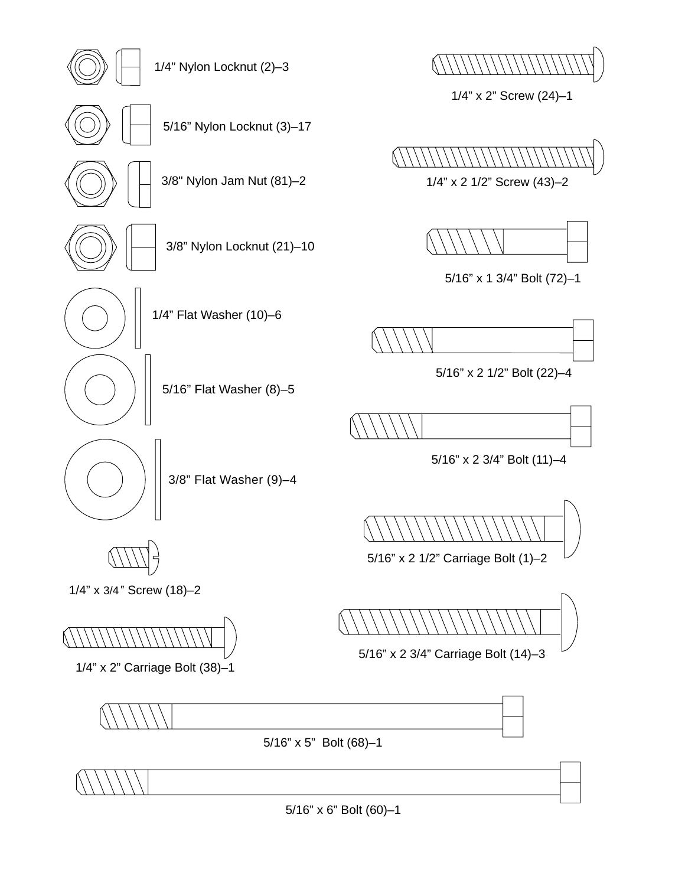5/16" x 6" Bolt (60)–1



5/16" x 2 3/4" Carriage Bolt (14)–3

1/4" x 3/4" Screw (18)-2

3/8" Flat Washer (9)–4

5/16" Flat Washer (8)–5

1/4" Flat Washer (10)–6

3/8" Nylon Locknut (21)–10

3/8" Nylon Jam Nut (81)–2

1/4" Nylon Locknut (2)–3

5/16" Nylon Locknut (3)–17



1/4" x 2" Screw (24)–1

1/4" x 2 1/2" Screw (43)–2





5/16" x 1 3/4" Bolt (72)–1



5/16" x 2 1/2" Bolt (22)–4

5/16" x 2 3/4" Bolt (11)–4





5/16" x 2 1/2" Carriage Bolt (1)–2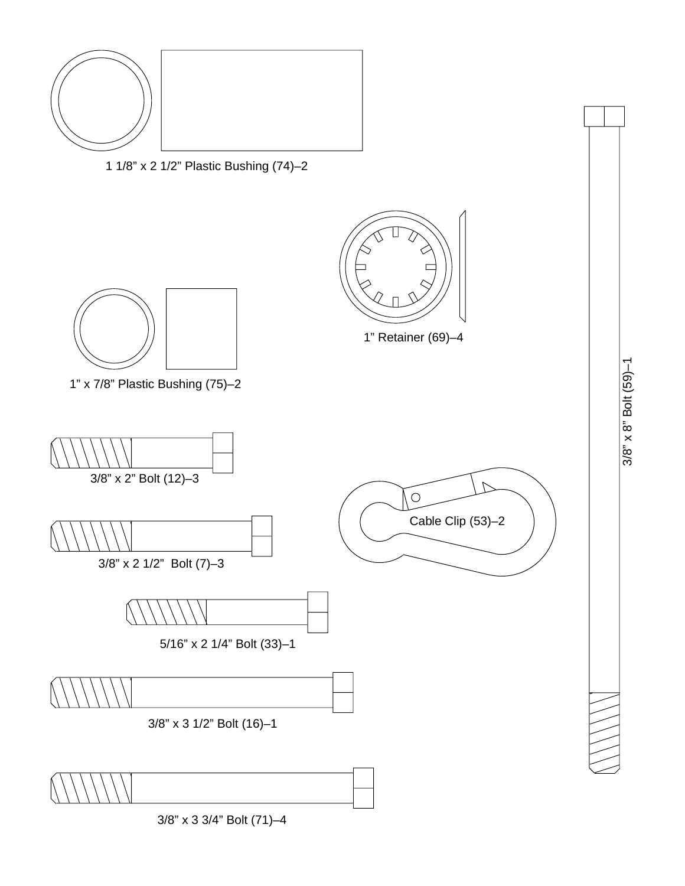3/8" x 3 3/4" Bolt (71)–4